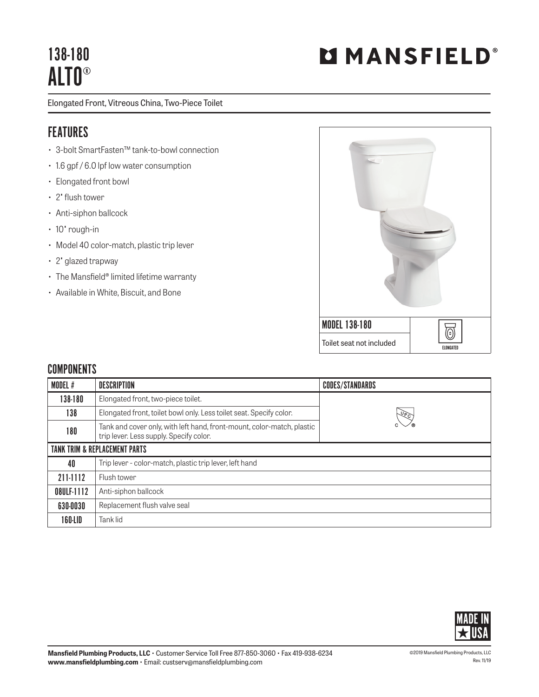## 138-180 ALTO®

Elongated Front, Vitreous China, Two-Piece Toilet

## FEATURES

- 3-bolt SmartFasten™ tank-to-bowl connection
- 1.6 gpf / 6.0 lpf low water consumption
- Elongated front bowl
- 2" flush tower
- Anti-siphon ballcock
- 10" rough-in
- Model 40 color-match, plastic trip lever
- 2" glazed trapway
- The Mansfield® limited lifetime warranty
- Available in White, Biscuit, and Bone



## **COMPONENTS**

| MODEL #                                  | <b>DESCRIPTION</b>                                                                                                | <b>CODES/STANDARDS</b> |
|------------------------------------------|-------------------------------------------------------------------------------------------------------------------|------------------------|
| 138-180                                  | Elongated front, two-piece toilet.                                                                                |                        |
| 138                                      | Elongated front, toilet bowl only. Less toilet seat. Specify color.                                               | $\sqrt{6}$             |
| 180                                      | Tank and cover only, with left hand, front-mount, color-match, plastic<br>trip lever. Less supply. Specify color. |                        |
| <b>TANK TRIM &amp; REPLACEMENT PARTS</b> |                                                                                                                   |                        |
| 40                                       | Trip lever - color-match, plastic trip lever, left hand                                                           |                        |
| 211-1112                                 | Flush tower                                                                                                       |                        |
| 08ULF-1112                               | Anti-siphon ballcock                                                                                              |                        |
| 630-0030                                 | Replacement flush valve seal                                                                                      |                        |
| 160-LID                                  | Tank lid                                                                                                          |                        |